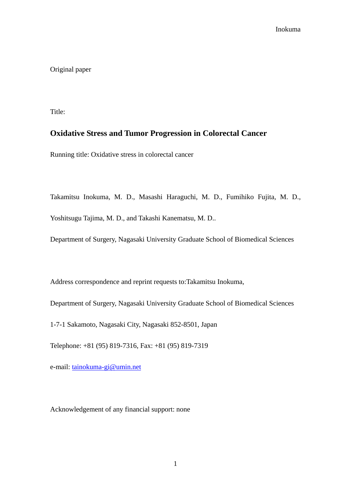Original paper

Title:

# **Oxidative Stress and Tumor Progression in Colorectal Cancer**

Running title: Oxidative stress in colorectal cancer

Takamitsu Inokuma, M. D., Masashi Haraguchi, M. D., Fumihiko Fujita, M. D., Yoshitsugu Tajima, M. D., and Takashi Kanematsu, M. D..

Department of Surgery, Nagasaki University Graduate School of Biomedical Sciences

Address correspondence and reprint requests to:Takamitsu Inokuma,

Department of Surgery, Nagasaki University Graduate School of Biomedical Sciences

1-7-1 Sakamoto, Nagasaki City, Nagasaki 852-8501, Japan

Telephone: +81 (95) 819-7316, Fax: +81 (95) 819-7319

e-mail: tainokuma-gi@umin.net

Acknowledgement of any financial support: none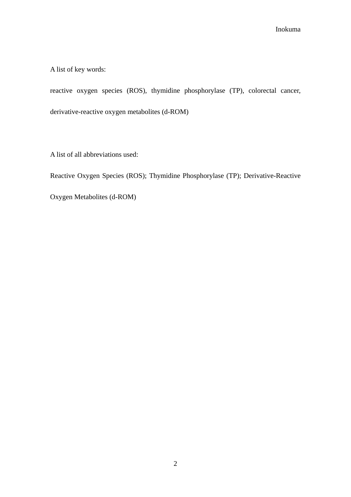A list of key words:

reactive oxygen species (ROS), thymidine phosphorylase (TP), colorectal cancer, derivative-reactive oxygen metabolites (d-ROM)

A list of all abbreviations used:

Reactive Oxygen Species (ROS); Thymidine Phosphorylase (TP); Derivative-Reactive

Oxygen Metabolites (d-ROM)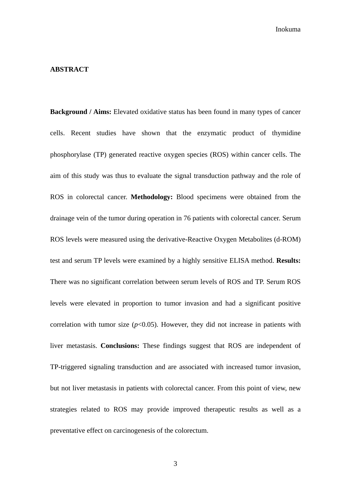## **ABSTRACT**

**Background / Aims:** Elevated oxidative status has been found in many types of cancer cells. Recent studies have shown that the enzymatic product of thymidine phosphorylase (TP) generated reactive oxygen species (ROS) within cancer cells. The aim of this study was thus to evaluate the signal transduction pathway and the role of ROS in colorectal cancer. **Methodology:** Blood specimens were obtained from the drainage vein of the tumor during operation in 76 patients with colorectal cancer. Serum ROS levels were measured using the derivative-Reactive Oxygen Metabolites (d-ROM) test and serum TP levels were examined by a highly sensitive ELISA method. **Results:**  There was no significant correlation between serum levels of ROS and TP. Serum ROS levels were elevated in proportion to tumor invasion and had a significant positive correlation with tumor size  $(p<0.05)$ . However, they did not increase in patients with liver metastasis. **Conclusions:** These findings suggest that ROS are independent of TP-triggered signaling transduction and are associated with increased tumor invasion, but not liver metastasis in patients with colorectal cancer. From this point of view, new strategies related to ROS may provide improved therapeutic results as well as a preventative effect on carcinogenesis of the colorectum.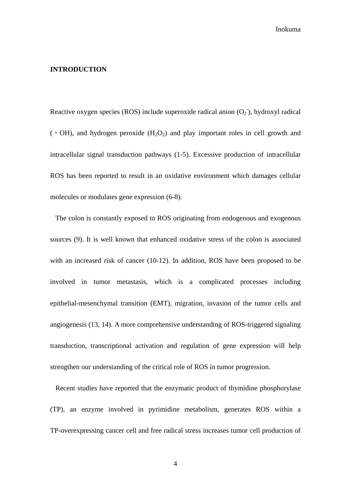## **INTRODUCTION**

Reactive oxygen species (ROS) include superoxide radical anion  $(O_2)$ , hydroxyl radical  $(·OH)$ , and hydrogen peroxide  $(H<sub>2</sub>O<sub>2</sub>)$  and play important roles in cell growth and intracellular signal transduction pathways (1-5). Excessive production of intracellular ROS has been reported to result in an oxidative environment which damages cellular molecules or modulates gene expression (6-8).

The colon is constantly exposed to ROS originating from endogenous and exogenous sources (9). It is well known that enhanced oxidative stress of the colon is associated with an increased risk of cancer (10-12). In addition, ROS have been proposed to be involved in tumor metastasis, which is a complicated processes including epithelial-mesenchymal transition (EMT), migration, invasion of the tumor cells and angiogenesis (13, 14). A more comprehensive understanding of ROS-triggered signaling transduction, transcriptional activation and regulation of gene expression will help strengthen our understanding of the critical role of ROS in tumor progression.

Recent studies have reported that the enzymatic product of thymidine phosphorylase (TP), an enzyme involved in pyrimidine metabolism, generates ROS within a TP-overexpressing cancer cell and free radical stress increases tumor cell production of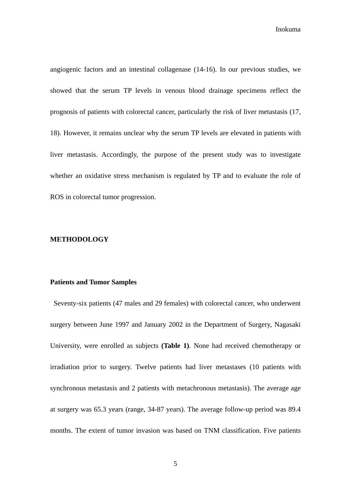angiogenic factors and an intestinal collagenase (14-16). In our previous studies, we showed that the serum TP levels in venous blood drainage specimens reflect the prognosis of patients with colorectal cancer, particularly the risk of liver metastasis (17, 18). However, it remains unclear why the serum TP levels are elevated in patients with liver metastasis. Accordingly, the purpose of the present study was to investigate whether an oxidative stress mechanism is regulated by TP and to evaluate the role of ROS in colorectal tumor progression.

## **METHODOLOGY**

## **Patients and Tumor Samples**

 Seventy-six patients (47 males and 29 females) with colorectal cancer, who underwent surgery between June 1997 and January 2002 in the Department of Surgery, Nagasaki University, were enrolled as subjects **(Table 1)**. None had received chemotherapy or irradiation prior to surgery. Twelve patients had liver metastases (10 patients with synchronous metastasis and 2 patients with metachronous metastasis). The average age at surgery was 65.3 years (range, 34-87 years). The average follow-up period was 89.4 months. The extent of tumor invasion was based on TNM classification. Five patients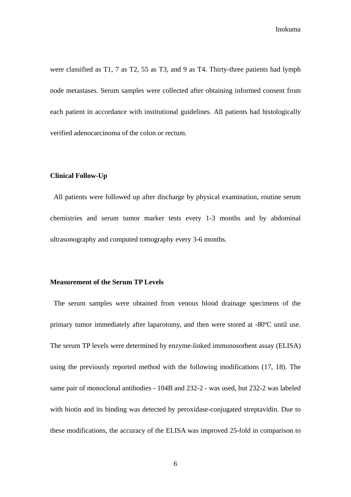were classified as T1, 7 as T2, 55 as T3, and 9 as T4. Thirty-three patients had lymph node metastases. Serum samples were collected after obtaining informed consent from each patient in accordance with institutional guidelines. All patients had histologically verified adenocarcinoma of the colon or rectum.

### **Clinical Follow-Up**

 All patients were followed up after discharge by physical examination, routine serum chemistries and serum tumor marker tests every 1-3 months and by abdominal ultrasonography and computed tomography every 3-6 months.

## **Measurement of the Serum TP Levels**

 The serum samples were obtained from venous blood drainage specimens of the primary tumor immediately after laparotomy, and then were stored at -80ºC until use. The serum TP levels were determined by enzyme-linked immunosorbent assay (ELISA) using the previously reported method with the following modifications (17, 18). The same pair of monoclonal antibodies - 104B and 232-2 - was used, but 232-2 was labeled with biotin and its binding was detected by peroxidase-conjugated streptavidin. Due to these modifications, the accuracy of the ELISA was improved 25-fold in comparison to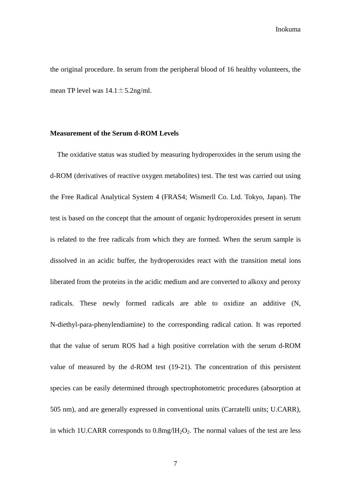the original procedure. In serum from the peripheral blood of 16 healthy volunteers, the mean TP level was  $14.1 \pm 5.2$ ng/ml.

## **Measurement of the Serum d-ROM Levels**

The oxidative status was studied by measuring hydroperoxides in the serum using the d-ROM (derivatives of reactive oxygen metabolites) test. The test was carried out using the Free Radical Analytical System 4 (FRAS4; Wismerll Co. Ltd. Tokyo, Japan). The test is based on the concept that the amount of organic hydroperoxides present in serum is related to the free radicals from which they are formed. When the serum sample is dissolved in an acidic buffer, the hydroperoxides react with the transition metal ions liberated from the proteins in the acidic medium and are converted to alkoxy and peroxy radicals. These newly formed radicals are able to oxidize an additive (N, N-diethyl-para-phenylendiamine) to the corresponding radical cation. It was reported that the value of serum ROS had a high positive correlation with the serum d-ROM value of measured by the d-ROM test (19-21). The concentration of this persistent species can be easily determined through spectrophotometric procedures (absorption at 505 nm), and are generally expressed in conventional units (Carratelli units; U.CARR), in which 1U.CARR corresponds to  $0.8$ mg/lH<sub>2</sub>O<sub>2</sub>. The normal values of the test are less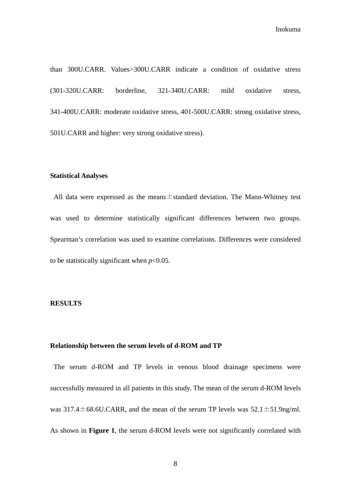than 300U.CARR. Values>300U.CARR indicate a condition of oxidative stress (301-320U.CARR: borderline, 321-340U.CARR: mild oxidative stress, 341-400U.CARR: moderate oxidative stress, 401-500U.CARR: strong oxidative stress, 501U.CARR and higher: very strong oxidative stress).

#### **Statistical Analyses**

All data were expressed as the means $\pm$ standard deviation. The Mann-Whitney test was used to determine statistically significant differences between two groups. Spearman's correlation was used to examine correlations. Differences were considered to be statistically significant when  $p<0.05$ .

#### **RESULTS**

## **Relationship between the serum levels of d-ROM and TP**

 The serum d-ROM and TP levels in venous blood drainage specimens were successfully measured in all patients in this study. The mean of the serum d-ROM levels was  $317.4 \pm 68.6$ U.CARR, and the mean of the serum TP levels was  $52.1 \pm 51.9$ ng/ml. As shown in **Figure 1**, the serum d-ROM levels were not significantly correlated with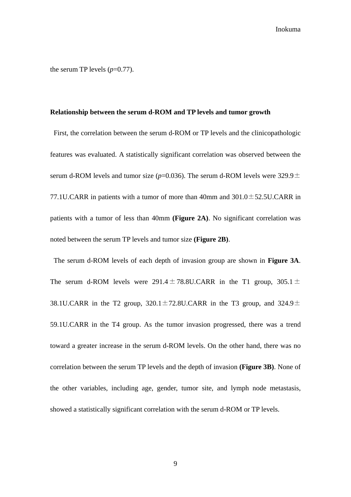the serum TP levels  $(p=0.77)$ .

#### **Relationship between the serum d-ROM and TP levels and tumor growth**

First, the correlation between the serum d-ROM or TP levels and the clinicopathologic features was evaluated. A statistically significant correlation was observed between the serum d-ROM levels and tumor size ( $p=0.036$ ). The serum d-ROM levels were 329.9 $\pm$ 77.1U.CARR in patients with a tumor of more than 40mm and  $301.0 \pm 52.5$ U.CARR in patients with a tumor of less than 40mm **(Figure 2A)**. No significant correlation was noted between the serum TP levels and tumor size **(Figure 2B)**.

The serum d-ROM levels of each depth of invasion group are shown in **Figure 3A**. The serum d-ROM levels were  $291.4 \pm 78.8$ U.CARR in the T1 group,  $305.1 \pm$ 38.1U.CARR in the T2 group,  $320.1 \pm 72.8$ U.CARR in the T3 group, and  $324.9 \pm$ 59.1U.CARR in the T4 group. As the tumor invasion progressed, there was a trend toward a greater increase in the serum d-ROM levels. On the other hand, there was no correlation between the serum TP levels and the depth of invasion **(Figure 3B)**. None of the other variables, including age, gender, tumor site, and lymph node metastasis, showed a statistically significant correlation with the serum d-ROM or TP levels.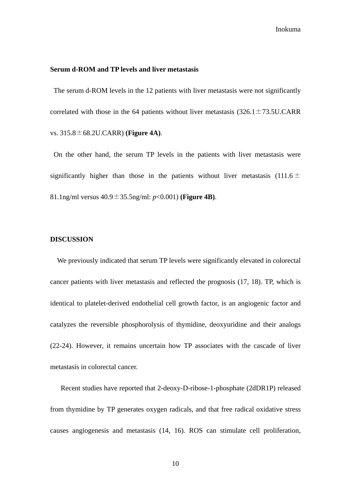### **Serum d-ROM and TP levels and liver metastasis**

 The serum d-ROM levels in the 12 patients with liver metastasis were not significantly correlated with those in the 64 patients without liver metastasis  $(326.1 \pm 73.5 \text{U} \cdot \text{CARR})$ vs. 315.8±68.2U.CARR) **(Figure 4A)**.

 On the other hand, the serum TP levels in the patients with liver metastasis were significantly higher than those in the patients without liver metastasis (111.6 $\pm$ 81.1ng/ml versus 40.9±35.5ng/ml: *p*<0.001) **(Figure 4B)**.

## **DISCUSSION**

We previously indicated that serum TP levels were significantly elevated in colorectal cancer patients with liver metastasis and reflected the prognosis (17, 18). TP, which is identical to platelet-derived endothelial cell growth factor, is an angiogenic factor and catalyzes the reversible phosphorolysis of thymidine, deoxyuridine and their analogs (22-24). However, it remains uncertain how TP associates with the cascade of liver metastasis in colorectal cancer.

Recent studies have reported that 2-deoxy-D-ribose-1-phosphate (2dDR1P) released from thymidine by TP generates oxygen radicals, and that free radical oxidative stress causes angiogenesis and metastasis (14, 16). ROS can stimulate cell proliferation,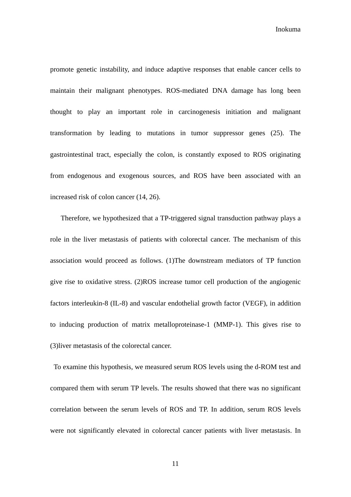promote genetic instability, and induce adaptive responses that enable cancer cells to maintain their malignant phenotypes. ROS-mediated DNA damage has long been thought to play an important role in carcinogenesis initiation and malignant transformation by leading to mutations in tumor suppressor genes (25). The gastrointestinal tract, especially the colon, is constantly exposed to ROS originating from endogenous and exogenous sources, and ROS have been associated with an increased risk of colon cancer (14, 26).

Therefore, we hypothesized that a TP-triggered signal transduction pathway plays a role in the liver metastasis of patients with colorectal cancer. The mechanism of this association would proceed as follows. (1)The downstream mediators of TP function give rise to oxidative stress. (2)ROS increase tumor cell production of the angiogenic factors interleukin-8 (IL-8) and vascular endothelial growth factor (VEGF), in addition to inducing production of matrix metalloproteinase-1 (MMP-1). This gives rise to (3)liver metastasis of the colorectal cancer.

 To examine this hypothesis, we measured serum ROS levels using the d-ROM test and compared them with serum TP levels. The results showed that there was no significant correlation between the serum levels of ROS and TP. In addition, serum ROS levels were not significantly elevated in colorectal cancer patients with liver metastasis. In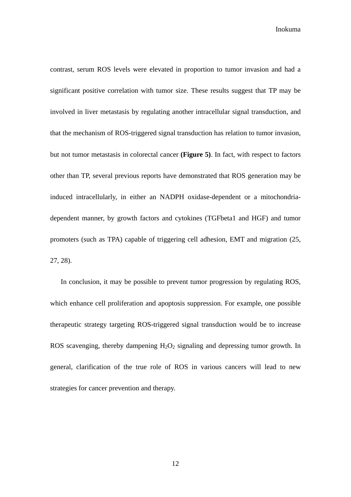contrast, serum ROS levels were elevated in proportion to tumor invasion and had a significant positive correlation with tumor size. These results suggest that TP may be involved in liver metastasis by regulating another intracellular signal transduction, and that the mechanism of ROS-triggered signal transduction has relation to tumor invasion, but not tumor metastasis in colorectal cancer **(Figure 5)**. In fact, with respect to factors other than TP, several previous reports have demonstrated that ROS generation may be induced intracellularly, in either an NADPH oxidase-dependent or a mitochondriadependent manner, by growth factors and cytokines (TGFbeta1 and HGF) and tumor promoters (such as TPA) capable of triggering cell adhesion, EMT and migration (25, 27, 28).

 In conclusion, it may be possible to prevent tumor progression by regulating ROS, which enhance cell proliferation and apoptosis suppression. For example, one possible therapeutic strategy targeting ROS-triggered signal transduction would be to increase ROS scavenging, thereby dampening  $H_2O_2$  signaling and depressing tumor growth. In general, clarification of the true role of ROS in various cancers will lead to new strategies for cancer prevention and therapy.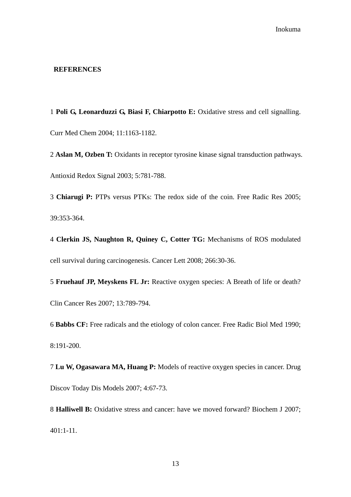## **REFERENCES**

1 **Poli G, Leonarduzzi G, Biasi F, Chiarpotto E:** Oxidative stress and cell signalling. Curr Med Chem 2004; 11:1163-1182.

2 **Aslan M, Ozben T:** Oxidants in receptor tyrosine kinase signal transduction pathways. Antioxid Redox Signal 2003; 5:781-788.

3 **Chiarugi P:** PTPs versus PTKs: The redox side of the coin. Free Radic Res 2005; 39:353-364.

4 **Clerkin JS, Naughton R, Quiney C, Cotter TG:** Mechanisms of ROS modulated cell survival during carcinogenesis. Cancer Lett 2008; 266:30-36.

5 **Fruehauf JP, Meyskens FL Jr:** Reactive oxygen species: A Breath of life or death? Clin Cancer Res 2007; 13:789-794.

6 **Babbs CF:** Free radicals and the etiology of colon cancer. Free Radic Biol Med 1990; 8:191-200.

7 **Lu W, Ogasawara MA, Huang P:** Models of reactive oxygen species in cancer. Drug Discov Today Dis Models 2007; 4:67-73.

8 **Halliwell B:** Oxidative stress and cancer: have we moved forward? Biochem J 2007; 401:1-11.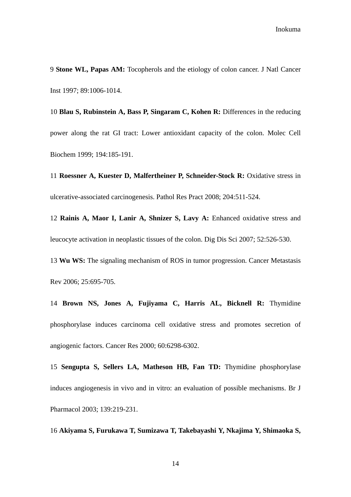9 **Stone WL, Papas AM:** Tocopherols and the etiology of colon cancer. J Natl Cancer Inst 1997; 89:1006-1014.

10 **Blau S, Rubinstein A, Bass P, Singaram C, Kohen R:** Differences in the reducing power along the rat GI tract: Lower antioxidant capacity of the colon. Molec Cell Biochem 1999; 194:185-191.

11 **Roessner A, Kuester D, Malfertheiner P, Schneider-Stock R:** Oxidative stress in ulcerative-associated carcinogenesis. Pathol Res Pract 2008; 204:511-524.

12 **Rainis A, Maor I, Lanir A, Shnizer S, Lavy A:** Enhanced oxidative stress and leucocyte activation in neoplastic tissues of the colon. Dig Dis Sci 2007; 52:526-530.

13 **Wu WS:** The signaling mechanism of ROS in tumor progression. Cancer Metastasis Rev 2006; 25:695-705.

14 **Brown NS, Jones A, Fujiyama C, Harris AL, Bicknell R:** Thymidine phosphorylase induces carcinoma cell oxidative stress and promotes secretion of angiogenic factors. Cancer Res 2000; 60:6298-6302.

15 **Sengupta S, Sellers LA, Matheson HB, Fan TD:** Thymidine phosphorylase induces angiogenesis in vivo and in vitro: an evaluation of possible mechanisms. Br J Pharmacol 2003; 139:219-231.

16 **Akiyama S, Furukawa T, Sumizawa T, Takebayashi Y, Nkajima Y, Shimaoka S,**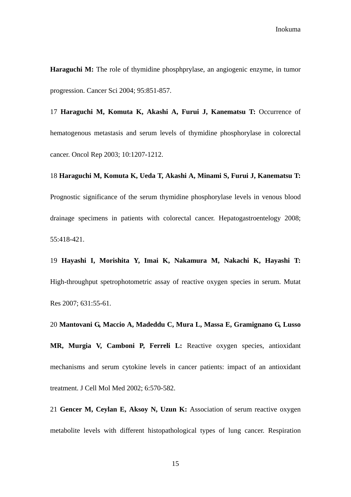**Haraguchi M:** The role of thymidine phosphprylase, an angiogenic enzyme, in tumor progression. Cancer Sci 2004; 95:851-857.

17 **Haraguchi M, Komuta K, Akashi A, Furui J, Kanematsu T:** Occurrence of hematogenous metastasis and serum levels of thymidine phosphorylase in colorectal cancer. Oncol Rep 2003; 10:1207-1212.

18 **Haraguchi M, Komuta K, Ueda T, Akashi A, Minami S, Furui J, Kanematsu T:** Prognostic significance of the serum thymidine phosphorylase levels in venous blood drainage specimens in patients with colorectal cancer. Hepatogastroentelogy 2008; 55:418-421.

19 **Hayashi I, Morishita Y, Imai K, Nakamura M, Nakachi K, Hayashi T:** High-throughput spetrophotometric assay of reactive oxygen species in serum. Mutat Res 2007; 631:55-61.

20 **Mantovani G, Maccio A, Madeddu C, Mura L, Massa E, Gramignano G, Lusso MR, Murgia V, Camboni P, Ferreli L:** Reactive oxygen species, antioxidant mechanisms and serum cytokine levels in cancer patients: impact of an antioxidant treatment. J Cell Mol Med 2002; 6:570-582.

21 **Gencer M, Ceylan E, Aksoy N, Uzun K:** Association of serum reactive oxygen metabolite levels with different histopathological types of lung cancer. Respiration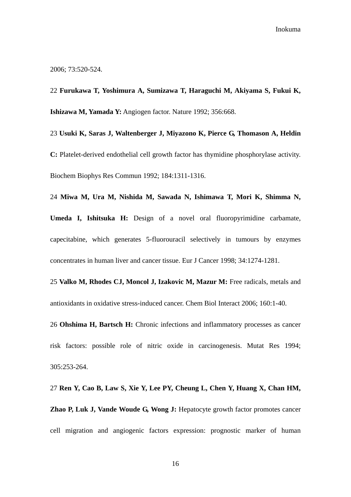2006; 73:520-524.

22 **Furukawa T, Yoshimura A, Sumizawa T, Haraguchi M, Akiyama S, Fukui K, Ishizawa M, Yamada Y:** Angiogen factor. Nature 1992; 356:668.

23 **Usuki K, Saras J, Waltenberger J, Miyazono K, Pierce G, Thomason A, Heldin C:** Platelet-derived endothelial cell growth factor has thymidine phosphorylase activity. Biochem Biophys Res Commun 1992; 184:1311-1316.

**Umeda I, Ishitsuka H:** Design of a novel oral fluoropyrimidine carbamate, capecitabine, which generates 5-fluorouracil selectively in tumours by enzymes concentrates in human liver and cancer tissue. Eur J Cancer 1998; 34:1274-1281.

24 **Miwa M, Ura M, Nishida M, Sawada N, Ishimawa T, Mori K, Shimma N,** 

25 **Valko M, Rhodes CJ, Moncol J, Izakovic M, Mazur M:** Free radicals, metals and antioxidants in oxidative stress-induced cancer. Chem Biol Interact 2006; 160:1-40.

26 **Ohshima H, Bartsch H:** Chronic infections and inflammatory processes as cancer risk factors: possible role of nitric oxide in carcinogenesis. Mutat Res 1994; 305:253-264.

27 **Ren Y, Cao B, Law S, Xie Y, Lee PY, Cheung L, Chen Y, Huang X, Chan HM, Zhao P, Luk J, Vande Woude G, Wong J:** Hepatocyte growth factor promotes cancer cell migration and angiogenic factors expression: prognostic marker of human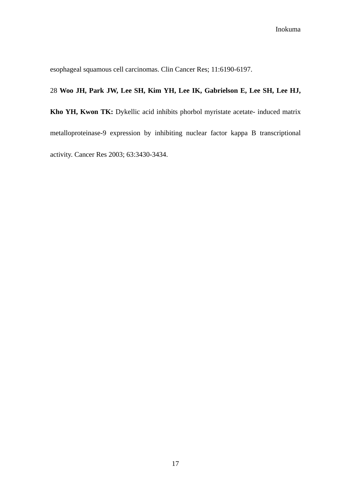esophageal squamous cell carcinomas. Clin Cancer Res; 11:6190-6197.

## 28 **Woo JH, Park JW, Lee SH, Kim YH, Lee IK, Gabrielson E, Lee SH, Lee HJ,**

**Kho YH, Kwon TK:** Dykellic acid inhibits phorbol myristate acetate- induced matrix metalloproteinase-9 expression by inhibiting nuclear factor kappa B transcriptional activity. Cancer Res 2003; 63:3430-3434.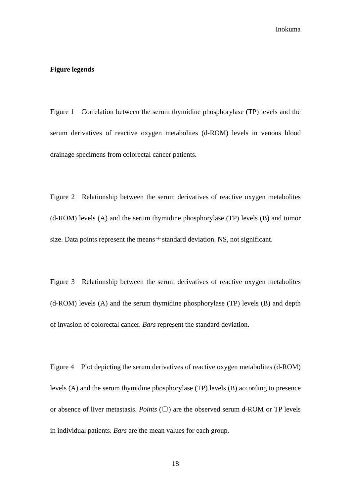## **Figure legends**

Figure 1 Correlation between the serum thymidine phosphorylase (TP) levels and the serum derivatives of reactive oxygen metabolites (d-ROM) levels in venous blood drainage specimens from colorectal cancer patients.

Figure 2 Relationship between the serum derivatives of reactive oxygen metabolites (d-ROM) levels (A) and the serum thymidine phosphorylase (TP) levels (B) and tumor size. Data points represent the means  $\pm$  standard deviation. NS, not significant.

Figure 3 Relationship between the serum derivatives of reactive oxygen metabolites (d-ROM) levels (A) and the serum thymidine phosphorylase (TP) levels (B) and depth of invasion of colorectal cancer. *Bars* represent the standard deviation.

Figure 4 Plot depicting the serum derivatives of reactive oxygen metabolites (d-ROM) levels (A) and the serum thymidine phosphorylase (TP) levels (B) according to presence or absence of liver metastasis. *Points*  $(\bigcirc)$  are the observed serum d-ROM or TP levels in individual patients. *Bars* are the mean values for each group.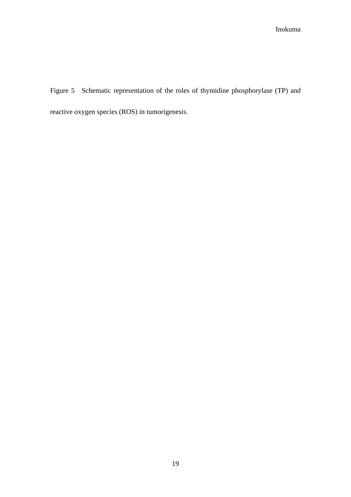Figure 5 Schematic representation of the roles of thymidine phosphorylase (TP) and reactive oxygen species (ROS) in tumorigenesis.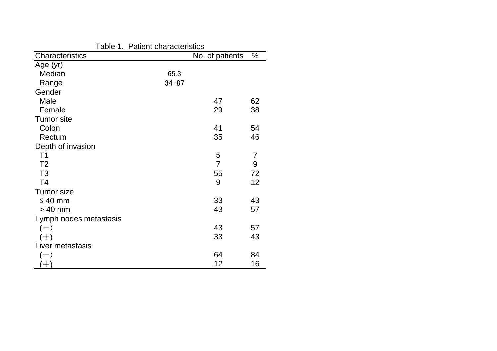| Table 1. Patient characteristics |           |                 |                |
|----------------------------------|-----------|-----------------|----------------|
| Characteristics                  |           | No. of patients | %              |
| Age (yr)                         |           |                 |                |
| Median                           | 65.3      |                 |                |
| Range                            | $34 - 87$ |                 |                |
| Gender                           |           |                 |                |
| Male                             |           | 47              | 62             |
| Female                           |           | 29              | 38             |
| <b>Tumor</b> site                |           |                 |                |
| Colon                            |           | 41              | 54             |
| Rectum                           |           | 35              | 46             |
| Depth of invasion                |           |                 |                |
| T <sub>1</sub>                   |           | 5               | $\overline{7}$ |
| T <sub>2</sub>                   |           | $\overline{7}$  | 9              |
| T <sub>3</sub>                   |           | 55              | 72             |
| T <sub>4</sub>                   |           | 9               | 12             |
| <b>Tumor</b> size                |           |                 |                |
| $\leq 40$ mm                     |           | 33              | 43             |
| $> 40$ mm                        |           | 43              | 57             |
| Lymph nodes metastasis           |           |                 |                |
| $(-)$                            |           | 43              | 57             |
| $(+)$                            |           | 33              | 43             |
| Liver metastasis                 |           |                 |                |
| $(-)$                            |           | 64              | 84             |
| $+$                              |           | 12              | 16             |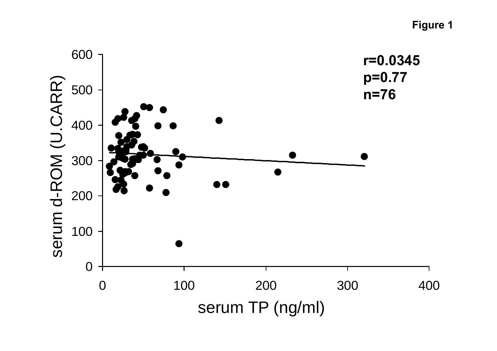**Figure 1**

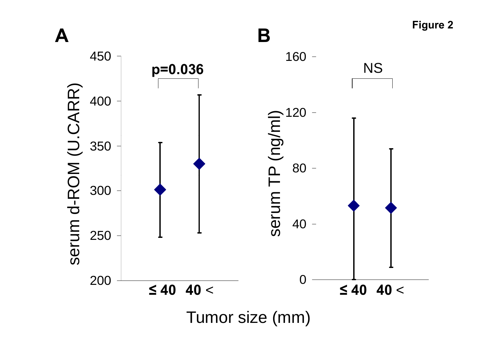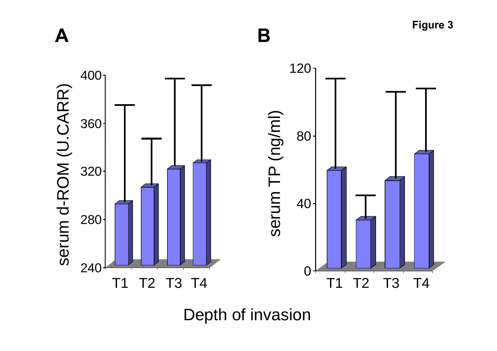

Depth of invasion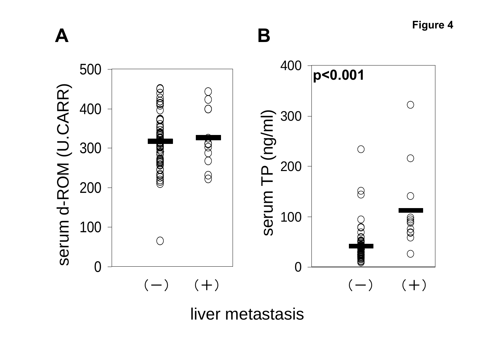**Figure 4 A B** <sup>400</sup> **<sup>p</sup><0.001** 500 $\widehat{\boldsymbol{\mathsf{c}}}$  $\begin{array}{c|c}\n\hline\n\downarrow\n\end{array}$  400  $\begin{array}{c}\n\heartsuit \\
\hline\n\searrow\n\end{array}$   $\begin{array}{c}\n\heartsuit \\
\hline\n\searrow\n\end{array}$  300  $\bigcirc$ /ml) /  $\frac{1}{2}$  300 <u>ሮ</u><br>0 200  $\bigcirc$ **COLOROOPERS**  $\bigcirc$  $\bigotimes$ um T 0<br>-<br>ㅎ  $\bigotimes$  $\bigcirc$  $\Xi$  100  $\begin{array}{ccc} \mathbf{e} & \mathbf{e} & \mathbf{e} \\ \mathbf{e} & \mathbf{e} & \mathbf{e} & \mathbf{e} \end{array}$  $\mathbb{O}(\mathbb{O})$  $\bigcirc$ ර<br>ග 0 0  $(-)$   $(+)$   $(-)$   $(+)$ 

liver metastasis